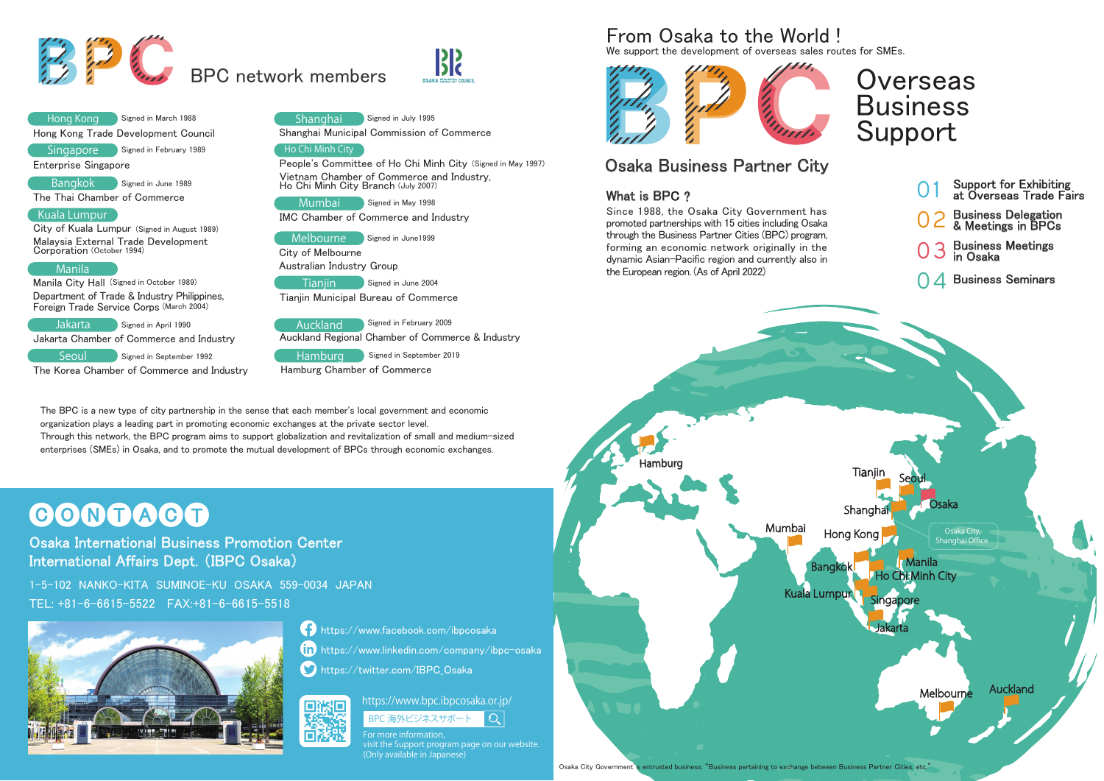# **Overseas** BusinessSupport

We support the development of overseas sales routes for SMEs.



Hong Kong Hong Kong Trade Development Council Signed in March 1988

Singapore Signed in February 1989

## Osaka Business Partner City

## What is BPC ?  $\,$





#### https://www.bpc.ibpcosaka.or.jp/ 지미 BPC 海外ビジネスサポート  $\mathbb{Q}^+$

The BPC is a new type of city partnership in the sense that each member's local government and economic organization plays a leading part in promoting economic exchanges at the private sector level. Through this network, the BPC program aims to support globalization and revitalization of small and medium-sized enterprises (SMEs) in Osaka, and to promote the mutual development of BPCs through economic exchanges.

# C O N T A C T

https://www.linkedin.com/company/ibpc-osaka

https://twitter.com/IBPC\_Osaka

- 01 Support for Exhibiting at Overseas Trade Fairs
- 02Business Delegation & Meetings in BPCs
- 03Business Meetings in Osaka
- 04Business Seminars

JakartaJakarta Chamber of Commerce and Industry Signed in April 1990

Since 1988, the Osaka City Government has promoted partnerships with 15 cities including Osaka through the Business Partner Cities (BPC) program, forming an economic network originally in the dynamic Asian-Pacific region and currently also in the European region. (As of April 2022)

## From Osaka to the World !

## **Osaka International Business Promotion Center** International Affairs Dept. (IBPC Osaka)

Enterprise Singapore

Bangkok a Signed in June 1989

The Thai Chamber of Commerce

## Kuala Lumpur

City of Kuala Lumpur (Signed in August 1989) Malaysia External Trade Development Corporation (October 1994)

## Manila

Manila City Hall (Signed in October 1989) Department of Trade & Industry Philippines, Foreign Trade Service Corps (March 2004)

SeoulThe Korea Chamber of Commerce and Industry Signed in September 1992

Shanghai Municipal Commission of Commerce





## Ho Chi Minh City

People's Committee of Ho Chi Minh City (Signed in May 1997) Vietnam Chamber of Commerce and Industry, Ho Chi Minh City Branch (July 2007)

Mumbai

Signed in May 1998

IMC Chamber of Commerce and Industry

City of Melbourne Australian Industry Group

**Tianiin** Signed in June 2004

| Melbourne  | Signed in June1999 |
|------------|--------------------|
| —<br>- - - |                    |

Tianjin Municipal Bureau of Commerce

Auckland

Auckland Regional Chamber of Commerce & Industry Signed in February 2009

Hamburg Hamburg Chamber of Commerce

Signed in September 2019

1-5-102 NANKO-KITA SUMINOE-KU OSAKA 559-0034 JAPANTEL: +81-6-6615-5522 FAX:+81-6-6615-5518





π

**https://www.facebook.com/ibpcosaka** 

For more information, visit the Support program page on our website. (Only available in Japanese)